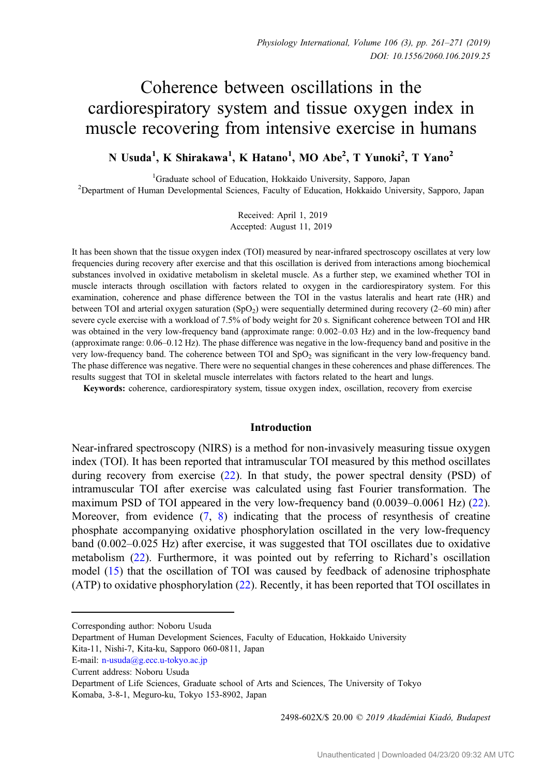# Coherence between oscillations in the cardiorespiratory system and tissue oxygen index in muscle recovering from intensive exercise in humans

N Usuda<sup>1</sup>, K Shirakawa<sup>1</sup>, K Hatano<sup>1</sup>, MO Abe<sup>2</sup>, T Yunoki<sup>2</sup>, T Yano<sup>2</sup>

<sup>1</sup>Graduate school of Education, Hokkaido University, Sapporo, Japan Graduate school of Education, Hokkaido University, Sapporo, Japan <sup>2</sup> Department of Human Developmental Sciences, Faculty of Education, Hokkaido University, Sapporo, Japan

> Received: April 1, 2019 Accepted: August 11, 2019

It has been shown that the tissue oxygen index (TOI) measured by near-infrared spectroscopy oscillates at very low frequencies during recovery after exercise and that this oscillation is derived from interactions among biochemical substances involved in oxidative metabolism in skeletal muscle. As a further step, we examined whether TOI in muscle interacts through oscillation with factors related to oxygen in the cardiorespiratory system. For this examination, coherence and phase difference between the TOI in the vastus lateralis and heart rate (HR) and between TOI and arterial oxygen saturation  $(SpO<sub>2</sub>)$  were sequentially determined during recovery (2–60 min) after severe cycle exercise with a workload of 7.5% of body weight for 20 s. Significant coherence between TOI and HR was obtained in the very low-frequency band (approximate range: 0.002–0.03 Hz) and in the low-frequency band (approximate range: 0.06–0.12 Hz). The phase difference was negative in the low-frequency band and positive in the very low-frequency band. The coherence between TOI and  $SpO<sub>2</sub>$  was significant in the very low-frequency band. The phase difference was negative. There were no sequential changes in these coherences and phase differences. The results suggest that TOI in skeletal muscle interrelates with factors related to the heart and lungs.

Keywords: coherence, cardiorespiratory system, tissue oxygen index, oscillation, recovery from exercise

## Introduction

Near-infrared spectroscopy (NIRS) is a method for non-invasively measuring tissue oxygen index (TOI). It has been reported that intramuscular TOI measured by this method oscillates during recovery from exercise ([22\)](#page-10-0). In that study, the power spectral density (PSD) of intramuscular TOI after exercise was calculated using fast Fourier transformation. The maximum PSD of TOI appeared in the very low-frequency band (0.0039–0.0061 Hz) [\(22](#page-10-0)). Moreover, from evidence  $(7, 8)$  $(7, 8)$  $(7, 8)$  $(7, 8)$  indicating that the process of resynthesis of creatine phosphate accompanying oxidative phosphorylation oscillated in the very low-frequency band (0.002–0.025 Hz) after exercise, it was suggested that TOI oscillates due to oxidative metabolism [\(22](#page-10-0)). Furthermore, it was pointed out by referring to Richard's oscillation model ([15\)](#page-9-0) that the oscillation of TOI was caused by feedback of adenosine triphosphate (ATP) to oxidative phosphorylation ([22\)](#page-10-0). Recently, it has been reported that TOI oscillates in

2498-602X/\$ 20.00 © 2019 Akadémiai Kiadó, Budapest

Corresponding author: Noboru Usuda

Department of Human Development Sciences, Faculty of Education, Hokkaido University E-mail: n–[usuda@g.ecc.u](mailto:n-usuda@g.ecc.u-tokyo.ac.jp)–tokyo.ac.jp<br>E-mail: n–usuda@g.ecc.u–tokyo.ac.jp<br>E-mail: n–usuda@g.ecc.u–tokyo.ac.jp

Kita-11, Nishi-7, Kita-ku, Sapporo 060-0811, Japan

Current address: Noboru Usuda

Department of Life Sciences, Graduate school of Arts and Sciences, The University of Tokyo Komaba, 3-8-1, Meguro-ku, Tokyo 153-8902, Japan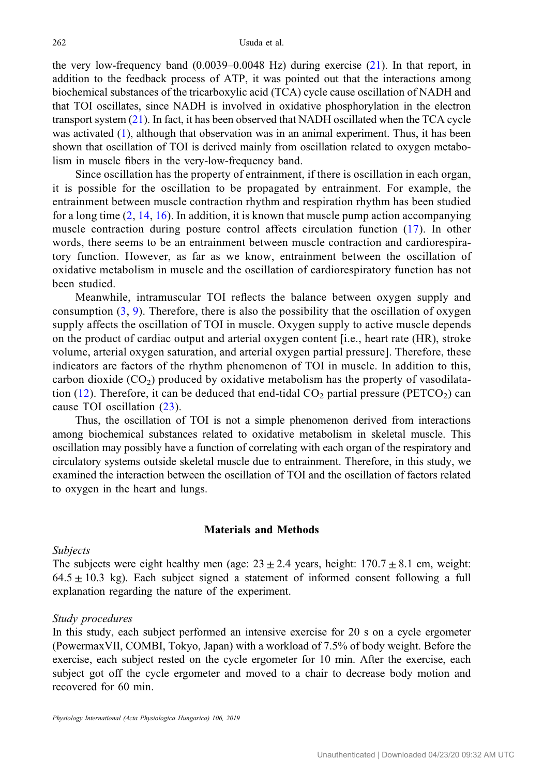the very low-frequency band (0.0039–0.0048 Hz) during exercise [\(21](#page-9-0)). In that report, in addition to the feedback process of ATP, it was pointed out that the interactions among biochemical substances of the tricarboxylic acid (TCA) cycle cause oscillation of NADH and that TOI oscillates, since NADH is involved in oxidative phosphorylation in the electron transport system ([21](#page-9-0)). In fact, it has been observed that NADH oscillated when the TCA cycle was activated [\(1](#page-9-0)), although that observation was in an animal experiment. Thus, it has been shown that oscillation of TOI is derived mainly from oscillation related to oxygen metabolism in muscle fibers in the very-low-frequency band.

Since oscillation has the property of entrainment, if there is oscillation in each organ, it is possible for the oscillation to be propagated by entrainment. For example, the entrainment between muscle contraction rhythm and respiration rhythm has been studied for a long time  $(2, 14, 16)$  $(2, 14, 16)$  $(2, 14, 16)$  $(2, 14, 16)$  $(2, 14, 16)$  $(2, 14, 16)$ . In addition, it is known that muscle pump action accompanying muscle contraction during posture control affects circulation function ([17](#page-9-0)). In other words, there seems to be an entrainment between muscle contraction and cardiorespiratory function. However, as far as we know, entrainment between the oscillation of oxidative metabolism in muscle and the oscillation of cardiorespiratory function has not been studied.

Meanwhile, intramuscular TOI reflects the balance between oxygen supply and consumption  $(3, 9)$  $(3, 9)$  $(3, 9)$  $(3, 9)$ . Therefore, there is also the possibility that the oscillation of oxygen supply affects the oscillation of TOI in muscle. Oxygen supply to active muscle depends on the product of cardiac output and arterial oxygen content [i.e., heart rate (HR), stroke volume, arterial oxygen saturation, and arterial oxygen partial pressure]. Therefore, these indicators are factors of the rhythm phenomenon of TOI in muscle. In addition to this, carbon dioxide  $(CO<sub>2</sub>)$  produced by oxidative metabolism has the property of vasodilata-tion [\(12\)](#page-9-0). Therefore, it can be deduced that end-tidal  $CO<sub>2</sub>$  partial pressure (PETCO<sub>2</sub>) can cause TOI oscillation ([23](#page-10-0)).

Thus, the oscillation of TOI is not a simple phenomenon derived from interactions among biochemical substances related to oxidative metabolism in skeletal muscle. This oscillation may possibly have a function of correlating with each organ of the respiratory and circulatory systems outside skeletal muscle due to entrainment. Therefore, in this study, we examined the interaction between the oscillation of TOI and the oscillation of factors related to oxygen in the heart and lungs.

# Materials and Methods

## Subjects

The subjects were eight healthy men (age:  $23 \pm 2.4$  years, height:  $170.7 \pm 8.1$  cm, weight:  $64.5 \pm 10.3$  kg). Each subject signed a statement of informed consent following a full explanation regarding the nature of the experiment.

#### Study procedures

In this study, each subject performed an intensive exercise for 20 s on a cycle ergometer (PowermaxVII, COMBI, Tokyo, Japan) with a workload of 7.5% of body weight. Before the exercise, each subject rested on the cycle ergometer for 10 min. After the exercise, each subject got off the cycle ergometer and moved to a chair to decrease body motion and recovered for 60 min.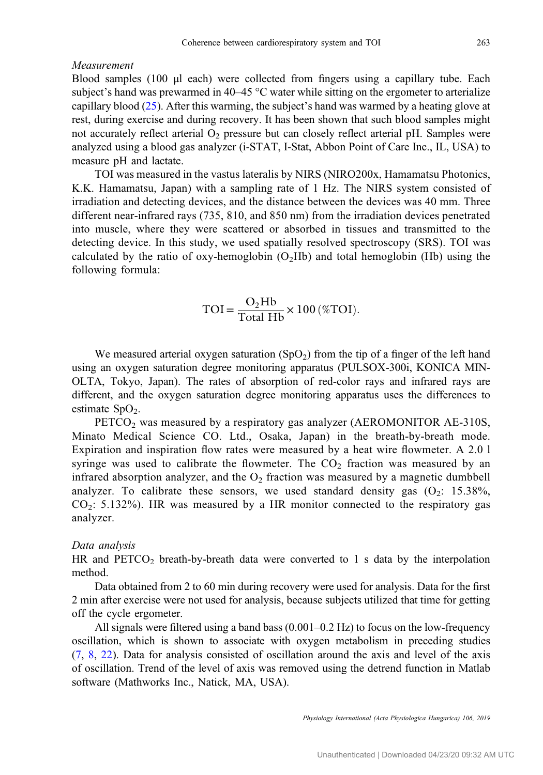## Measurement

Blood samples (100 μl each) were collected from fingers using a capillary tube. Each subject's hand was prewarmed in 40–45 °C water while sitting on the ergometer to arterialize capillary blood  $(25)$  $(25)$ . After this warming, the subject's hand was warmed by a heating glove at rest, during exercise and during recovery. It has been shown that such blood samples might not accurately reflect arterial  $O<sub>2</sub>$  pressure but can closely reflect arterial pH. Samples were analyzed using a blood gas analyzer (i-STAT, I-Stat, Abbon Point of Care Inc., IL, USA) to measure pH and lactate.

TOI was measured in the vastus lateralis by NIRS (NIRO200x, Hamamatsu Photonics, K.K. Hamamatsu, Japan) with a sampling rate of 1 Hz. The NIRS system consisted of irradiation and detecting devices, and the distance between the devices was 40 mm. Three different near-infrared rays (735, 810, and 850 nm) from the irradiation devices penetrated into muscle, where they were scattered or absorbed in tissues and transmitted to the detecting device. In this study, we used spatially resolved spectroscopy (SRS). TOI was calculated by the ratio of oxy-hemoglobin  $(O_2Hb)$  and total hemoglobin (Hb) using the following formula:

$$
TOI = \frac{O_2 Hb}{Total Hb} \times 100 \, (\% TOI).
$$

We measured arterial oxygen saturation  $(SpO<sub>2</sub>)$  from the tip of a finger of the left hand using an oxygen saturation degree monitoring apparatus (PULSOX-300i, KONICA MIN-OLTA, Tokyo, Japan). The rates of absorption of red-color rays and infrared rays are different, and the oxygen saturation degree monitoring apparatus uses the differences to estimate  $SpO<sub>2</sub>$ .

PETCO<sub>2</sub> was measured by a respiratory gas analyzer (AEROMONITOR AE-310S, Minato Medical Science CO. Ltd., Osaka, Japan) in the breath-by-breath mode. Expiration and inspiration flow rates were measured by a heat wire flowmeter. A 2.0 l syringe was used to calibrate the flowmeter. The  $CO<sub>2</sub>$  fraction was measured by an infrared absorption analyzer, and the  $O<sub>2</sub>$  fraction was measured by a magnetic dumbbell analyzer. To calibrate these sensors, we used standard density gas  $(O_2: 15.38\%)$ ,  $CO<sub>2</sub>: 5.132\%$ ). HR was measured by a HR monitor connected to the respiratory gas analyzer.

#### Data analysis

HR and  $PETCO<sub>2</sub>$  breath-by-breath data were converted to 1 s data by the interpolation method.

Data obtained from 2 to 60 min during recovery were used for analysis. Data for the first 2 min after exercise were not used for analysis, because subjects utilized that time for getting off the cycle ergometer.

All signals were filtered using a band bass (0.001–0.2 Hz) to focus on the low-frequency oscillation, which is shown to associate with oxygen metabolism in preceding studies [\(7](#page-9-0), [8](#page-9-0), [22\)](#page-10-0). Data for analysis consisted of oscillation around the axis and level of the axis of oscillation. Trend of the level of axis was removed using the detrend function in Matlab software (Mathworks Inc., Natick, MA, USA).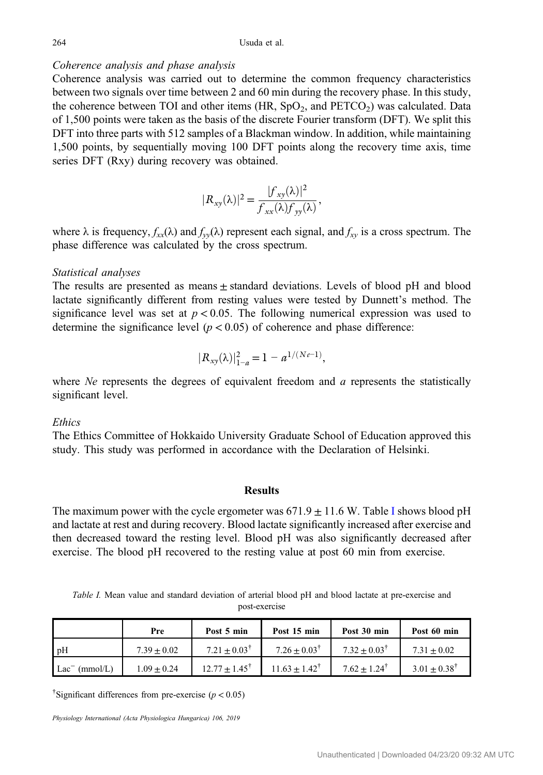# Coherence analysis and phase analysis

Coherence analysis was carried out to determine the common frequency characteristics between two signals over time between 2 and 60 min during the recovery phase. In this study, the coherence between TOI and other items  $(HR, SpO<sub>2</sub>, and PETCO<sub>2</sub>)$  was calculated. Data of 1,500 points were taken as the basis of the discrete Fourier transform (DFT). We split this DFT into three parts with 512 samples of a Blackman window. In addition, while maintaining 1,500 points, by sequentially moving 100 DFT points along the recovery time axis, time series DFT (Rxy) during recovery was obtained.

$$
|R_{xy}(\lambda)|^2 = \frac{|f_{xy}(\lambda)|^2}{f_{xx}(\lambda)f_{yy}(\lambda)},
$$

where  $\lambda$  is frequency,  $f_{xx}(\lambda)$  and  $f_{yy}(\lambda)$  represent each signal, and  $f_{xy}$  is a cross spectrum. The phase difference was calculated by the cross spectrum.

#### Statistical analyses

The results are presented as means  $\pm$  standard deviations. Levels of blood pH and blood lactate significantly different from resting values were tested by Dunnett's method. The significance level was set at  $p < 0.05$ . The following numerical expression was used to determine the significance level  $(p < 0.05)$  of coherence and phase difference: tandard deviations.<br>
ing values were te<br>
The following nu<br>
15) of coherence a<br>  $\frac{2}{1-a} = 1 - a^{1/(N\epsilon - 1)}$ 

$$
|R_{xy}(\lambda)|_{1-a}^2 = 1 - a^{1/(Ne-1)},
$$

where  $Ne$  represents the degrees of equivalent freedom and  $a$  represents the statistically significant level.

# **Ethics**

The Ethics Committee of Hokkaido University Graduate School of Education approved this study. This study was performed in accordance with the Declaration of Helsinki.

#### Results

The maximum power with the cycle ergometer was  $671.9 \pm 11.6$  W. Table I shows blood pH and lactate at rest and during recovery. Blood lactate significantly increased after exercise and then decreased toward the resting level. Blood pH was also significantly decreased after exercise. The blood pH recovered to the resting value at post 60 min from exercise.

Table I. Mean value and standard deviation of arterial blood pH and blood lactate at pre-exercise and post-exercise

|                              | Pre             | Post 5 min               | Post 15 min              | Post 30 min                | Post 60 min             |
|------------------------------|-----------------|--------------------------|--------------------------|----------------------------|-------------------------|
| P <sub>H</sub>               | $7.39 + 0.02$   | $7.21 + 0.03^{\dagger}$  | $7.26 + 0.03^{\dagger}$  | $7.32 + 0.03^{\dagger}$    | $7.31 + 0.02$           |
| (mmol/L)<br>Lac <sup>-</sup> | $1.09 \pm 0.24$ | $12.77 + 1.45^{\dagger}$ | $11.63 + 1.42^{\dagger}$ | $7.62 + 1.24$ <sup>T</sup> | $3.01 + 0.38^{\dagger}$ |

<sup>†</sup>Significant differences from pre-exercise ( $p < 0.05$ )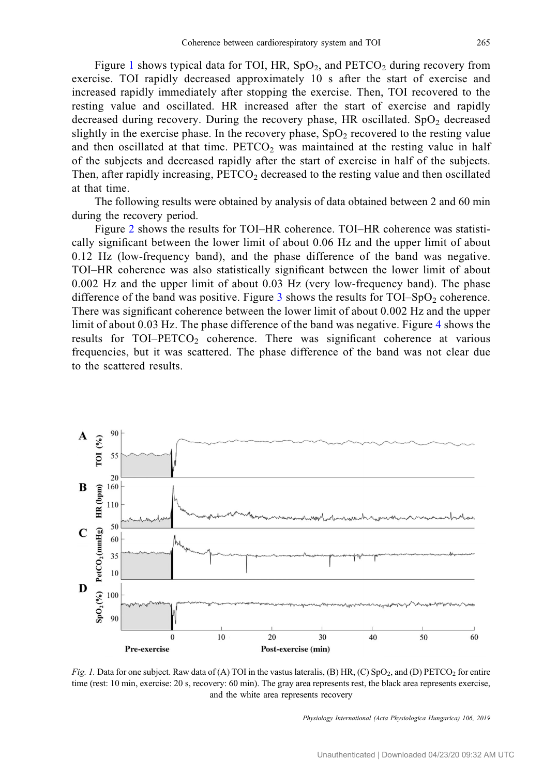Figure 1 shows typical data for TOI, HR,  $SpO<sub>2</sub>$ , and  $PETCO<sub>2</sub>$  during recovery from exercise. TOI rapidly decreased approximately 10 s after the start of exercise and increased rapidly immediately after stopping the exercise. Then, TOI recovered to the resting value and oscillated. HR increased after the start of exercise and rapidly decreased during recovery. During the recovery phase, HR oscillated.  $SpO<sub>2</sub>$  decreased slightly in the exercise phase. In the recovery phase,  $SpO<sub>2</sub>$  recovered to the resting value and then oscillated at that time.  $PETCO<sub>2</sub>$  was maintained at the resting value in half of the subjects and decreased rapidly after the start of exercise in half of the subjects. Then, after rapidly increasing,  $PETCO<sub>2</sub>$  decreased to the resting value and then oscillated at that time.

The following results were obtained by analysis of data obtained between 2 and 60 min during the recovery period.

Figure [2](#page-5-0) shows the results for TOI–HR coherence. TOI–HR coherence was statistically significant between the lower limit of about 0.06 Hz and the upper limit of about 0.12 Hz (low-frequency band), and the phase difference of the band was negative. TOI–HR coherence was also statistically significant between the lower limit of about 0.002 Hz and the upper limit of about 0.03 Hz (very low-frequency band). The phase difference of the band was positive. Figure [3](#page-5-0) shows the results for TOI–SpO<sub>2</sub> coherence. There was significant coherence between the lower limit of about 0.002 Hz and the upper limit of about 0.03 Hz. The phase difference of the band was negative. Figure [4](#page-6-0) shows the results for  $TOI-PETCO<sub>2</sub>$  coherence. There was significant coherence at various frequencies, but it was scattered. The phase difference of the band was not clear due to the scattered results.



Fig. 1. Data for one subject. Raw data of (A) TOI in the vastus lateralis, (B) HR, (C) SpO<sub>2</sub>, and (D) PETCO<sub>2</sub> for entire time (rest: 10 min, exercise: 20 s, recovery: 60 min). The gray area represents rest, the black area represents exercise, and the white area represents recovery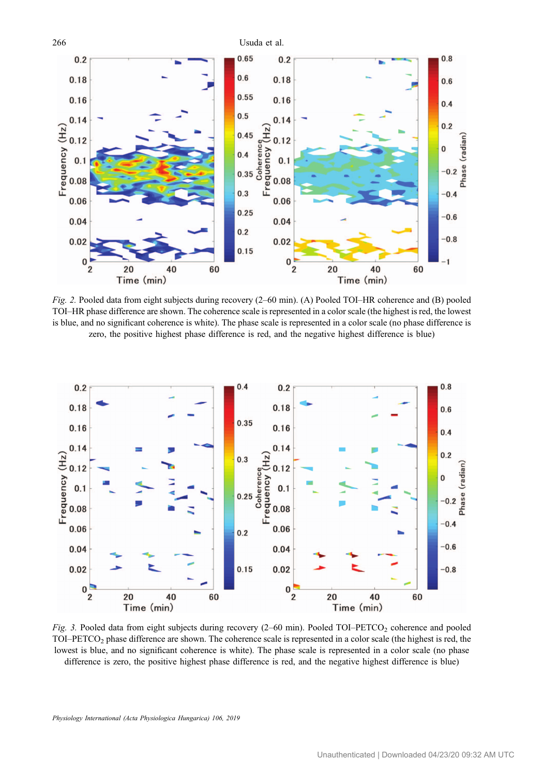<span id="page-5-0"></span>

Fig. 2. Pooled data from eight subjects during recovery (2–60 min). (A) Pooled TOI–HR coherence and (B) pooled TOI–HR phase difference are shown. The coherence scale is represented in a color scale (the highest is red, the lowest is blue, and no significant coherence is white). The phase scale is represented in a color scale (no phase difference is zero, the positive highest phase difference is red, and the negative highest difference is blue)



Fig. 3. Pooled data from eight subjects during recovery  $(2-60 \text{ min})$ . Pooled TOI–PETCO<sub>2</sub> coherence and pooled TOI–PETCO<sub>2</sub> phase difference are shown. The coherence scale is represented in a color scale (the highest is red, the lowest is blue, and no significant coherence is white). The phase scale is represented in a color scale (no phase difference is zero, the positive highest phase difference is red, and the negative highest difference is blue)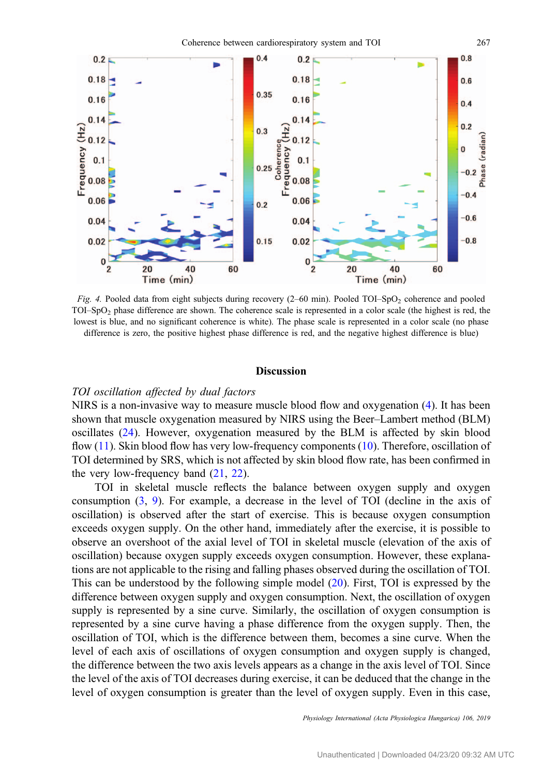<span id="page-6-0"></span>

Fig. 4. Pooled data from eight subjects during recovery  $(2-60 \text{ min})$ . Pooled TOI–SpO<sub>2</sub> coherence and pooled TOI–SpO2 phase difference are shown. The coherence scale is represented in a color scale (the highest is red, the lowest is blue, and no significant coherence is white). The phase scale is represented in a color scale (no phase difference is zero, the positive highest phase difference is red, and the negative highest difference is blue)

#### **Discussion**

# TOI oscillation affected by dual factors

NIRS is a non-invasive way to measure muscle blood flow and oxygenation [\(4](#page-9-0)). It has been shown that muscle oxygenation measured by NIRS using the Beer–Lambert method (BLM) oscillates [\(24](#page-10-0)). However, oxygenation measured by the BLM is affected by skin blood flow [\(11](#page-9-0)). Skin blood flow has very low-frequency components [\(10](#page-9-0)). Therefore, oscillation of TOI determined by SRS, which is not affected by skin blood flow rate, has been confirmed in the very low-frequency band [\(21](#page-9-0), [22](#page-10-0)).

TOI in skeletal muscle reflects the balance between oxygen supply and oxygen consumption ([3,](#page-9-0) [9](#page-9-0)). For example, a decrease in the level of TOI (decline in the axis of oscillation) is observed after the start of exercise. This is because oxygen consumption exceeds oxygen supply. On the other hand, immediately after the exercise, it is possible to observe an overshoot of the axial level of TOI in skeletal muscle (elevation of the axis of oscillation) because oxygen supply exceeds oxygen consumption. However, these explanations are not applicable to the rising and falling phases observed during the oscillation of TOI. This can be understood by the following simple model ([20\)](#page-9-0). First, TOI is expressed by the difference between oxygen supply and oxygen consumption. Next, the oscillation of oxygen supply is represented by a sine curve. Similarly, the oscillation of oxygen consumption is represented by a sine curve having a phase difference from the oxygen supply. Then, the oscillation of TOI, which is the difference between them, becomes a sine curve. When the level of each axis of oscillations of oxygen consumption and oxygen supply is changed, the difference between the two axis levels appears as a change in the axis level of TOI. Since the level of the axis of TOI decreases during exercise, it can be deduced that the change in the level of oxygen consumption is greater than the level of oxygen supply. Even in this case,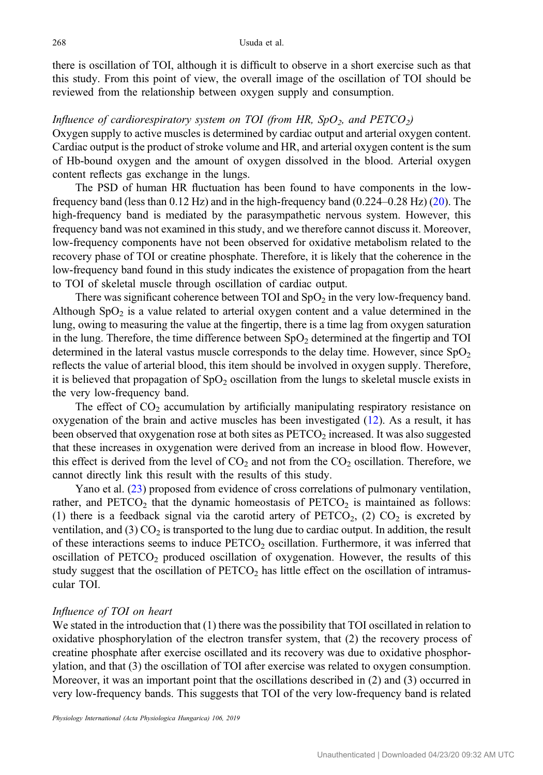there is oscillation of TOI, although it is difficult to observe in a short exercise such as that this study. From this point of view, the overall image of the oscillation of TOI should be reviewed from the relationship between oxygen supply and consumption.

# Influence of cardiorespiratory system on TOI (from HR,  $SpO<sub>2</sub>$ , and PETCO<sub>2</sub>)

Oxygen supply to active muscles is determined by cardiac output and arterial oxygen content. Cardiac output is the product of stroke volume and HR, and arterial oxygen content is the sum of Hb-bound oxygen and the amount of oxygen dissolved in the blood. Arterial oxygen content reflects gas exchange in the lungs.

The PSD of human HR fluctuation has been found to have components in the lowfrequency band (less than 0.12 Hz) and in the high-frequency band (0.224–0.28 Hz) ([20\)](#page-9-0). The high-frequency band is mediated by the parasympathetic nervous system. However, this frequency band was not examined in this study, and we therefore cannot discuss it. Moreover, low-frequency components have not been observed for oxidative metabolism related to the recovery phase of TOI or creatine phosphate. Therefore, it is likely that the coherence in the low-frequency band found in this study indicates the existence of propagation from the heart to TOI of skeletal muscle through oscillation of cardiac output.

There was significant coherence between TOI and  $SpO<sub>2</sub>$  in the very low-frequency band. Although  $SpO<sub>2</sub>$  is a value related to arterial oxygen content and a value determined in the lung, owing to measuring the value at the fingertip, there is a time lag from oxygen saturation in the lung. Therefore, the time difference between  $SpO<sub>2</sub>$  determined at the fingertip and TOI determined in the lateral vastus muscle corresponds to the delay time. However, since  $SpO<sub>2</sub>$ reflects the value of arterial blood, this item should be involved in oxygen supply. Therefore, it is believed that propagation of  $SpO<sub>2</sub>$  oscillation from the lungs to skeletal muscle exists in the very low-frequency band.

The effect of  $CO<sub>2</sub>$  accumulation by artificially manipulating respiratory resistance on oxygenation of the brain and active muscles has been investigated [\(12](#page-9-0)). As a result, it has been observed that oxygenation rose at both sites as PETCO<sub>2</sub> increased. It was also suggested that these increases in oxygenation were derived from an increase in blood flow. However, this effect is derived from the level of  $CO<sub>2</sub>$  and not from the  $CO<sub>2</sub>$  oscillation. Therefore, we cannot directly link this result with the results of this study.

Yano et al. [\(23](#page-10-0)) proposed from evidence of cross correlations of pulmonary ventilation, rather, and  $PETCO<sub>2</sub>$  that the dynamic homeostasis of  $PETCO<sub>2</sub>$  is maintained as follows: (1) there is a feedback signal via the carotid artery of  $PETCO<sub>2</sub>$ , (2)  $CO<sub>2</sub>$  is excreted by ventilation, and  $(3)$  CO<sub>2</sub> is transported to the lung due to cardiac output. In addition, the result of these interactions seems to induce  $PETCO<sub>2</sub>$  oscillation. Furthermore, it was inferred that oscillation of  $PETCO<sub>2</sub>$  produced oscillation of oxygenation. However, the results of this study suggest that the oscillation of  $PETCO<sub>2</sub>$  has little effect on the oscillation of intramuscular TOI.

#### Influence of TOI on heart

We stated in the introduction that (1) there was the possibility that TOI oscillated in relation to oxidative phosphorylation of the electron transfer system, that (2) the recovery process of creatine phosphate after exercise oscillated and its recovery was due to oxidative phosphorylation, and that (3) the oscillation of TOI after exercise was related to oxygen consumption. Moreover, it was an important point that the oscillations described in (2) and (3) occurred in very low-frequency bands. This suggests that TOI of the very low-frequency band is related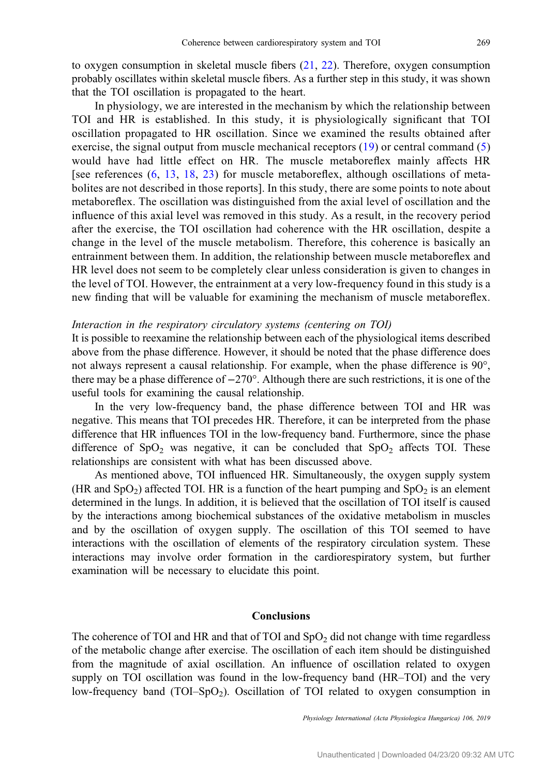to oxygen consumption in skeletal muscle fibers [\(21](#page-9-0), [22](#page-10-0)). Therefore, oxygen consumption probably oscillates within skeletal muscle fibers. As a further step in this study, it was shown that the TOI oscillation is propagated to the heart.

In physiology, we are interested in the mechanism by which the relationship between TOI and HR is established. In this study, it is physiologically significant that TOI oscillation propagated to HR oscillation. Since we examined the results obtained after exercise, the signal output from muscle mechanical receptors [\(19\)](#page-9-0) or central command ([5\)](#page-9-0) would have had little effect on HR. The muscle metaboreflex mainly affects HR [see references ([6,](#page-9-0) [13,](#page-9-0) [18](#page-9-0), [23](#page-10-0)) for muscle metaboreflex, although oscillations of metabolites are not described in those reports]. In this study, there are some points to note about metaboreflex. The oscillation was distinguished from the axial level of oscillation and the influence of this axial level was removed in this study. As a result, in the recovery period after the exercise, the TOI oscillation had coherence with the HR oscillation, despite a change in the level of the muscle metabolism. Therefore, this coherence is basically an entrainment between them. In addition, the relationship between muscle metaboreflex and HR level does not seem to be completely clear unless consideration is given to changes in the level of TOI. However, the entrainment at a very low-frequency found in this study is a new finding that will be valuable for examining the mechanism of muscle metaboreflex.

#### Interaction in the respiratory circulatory systems (centering on TOI)

It is possible to reexamine the relationship between each of the physiological items described above from the phase difference. However, it should be noted that the phase difference does not always represent a causal relationship. For example, when the phase difference is 90°, there may be a phase difference of −270°. Although there are such restrictions, it is one of the useful tools for examining the causal relationship.

In the very low-frequency band, the phase difference between TOI and HR was negative. This means that TOI precedes HR. Therefore, it can be interpreted from the phase difference that HR influences TOI in the low-frequency band. Furthermore, since the phase difference of  $SpO<sub>2</sub>$  was negative, it can be concluded that  $SpO<sub>2</sub>$  affects TOI. These relationships are consistent with what has been discussed above.

As mentioned above, TOI influenced HR. Simultaneously, the oxygen supply system (HR and  $SpO<sub>2</sub>$ ) affected TOI. HR is a function of the heart pumping and  $SpO<sub>2</sub>$  is an element determined in the lungs. In addition, it is believed that the oscillation of TOI itself is caused by the interactions among biochemical substances of the oxidative metabolism in muscles and by the oscillation of oxygen supply. The oscillation of this TOI seemed to have interactions with the oscillation of elements of the respiratory circulation system. These interactions may involve order formation in the cardiorespiratory system, but further examination will be necessary to elucidate this point.

# Conclusions

The coherence of TOI and HR and that of TOI and  $SpO<sub>2</sub>$  did not change with time regardless of the metabolic change after exercise. The oscillation of each item should be distinguished from the magnitude of axial oscillation. An influence of oscillation related to oxygen supply on TOI oscillation was found in the low-frequency band (HR–TOI) and the very low-frequency band  $(TOL-SpO<sub>2</sub>)$ . Oscillation of TOI related to oxygen consumption in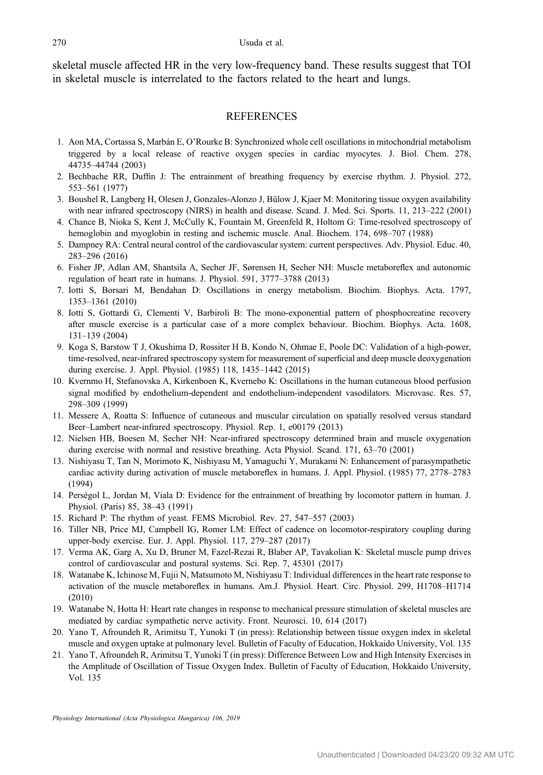<span id="page-9-0"></span>skeletal muscle affected HR in the very low-frequency band. These results suggest that TOI in skeletal muscle is interrelated to the factors related to the heart and lungs.

# **REFERENCES**

- 1. Aon MA, Cortassa S, Marbán E, O'Rourke B: Synchronized whole cell oscillations in mitochondrial metabolism triggered by a local release of reactive oxygen species in cardiac myocytes. J. Biol. Chem. 278, 44735–44744 (2003)
- 2. Bechbache RR, Duffin J: The entrainment of breathing frequency by exercise rhythm. J. Physiol. 272, 553–561 (1977)
- 3. Boushel R, Langberg H, Olesen J, Gonzales-Alonzo J, Bülow J, Kjaer M: Monitoring tissue oxygen availability with near infrared spectroscopy (NIRS) in health and disease. Scand. J. Med. Sci. Sports. 11, 213–222 (2001)
- 4. Chance B, Nioka S, Kent J, McCully K, Fountain M, Greenfeld R, Holtom G: Time-resolved spectroscopy of hemoglobin and myoglobin in resting and ischemic muscle. Anal. Biochem. 174, 698–707 (1988)
- 5. Dampney RA: Central neural control of the cardiovascular system: current perspectives. Adv. Physiol. Educ. 40, 283–296 (2016)
- 6. Fisher JP, Adlan AM, Shantsila A, Secher JF, Sørensen H, Secher NH: Muscle metaboreflex and autonomic regulation of heart rate in humans. J. Physiol. 591, 3777–3788 (2013)
- 7. Iotti S, Borsari M, Bendahan D: Oscillations in energy metabolism. Biochim. Biophys. Acta. 1797, 1353–1361 (2010)
- 8. Iotti S, Gottardi G, Clementi V, Barbiroli B: The mono-exponential pattern of phosphocreatine recovery after muscle exercise is a particular case of a more complex behaviour. Biochim. Biophys. Acta. 1608, 131–139 (2004)
- 9. Koga S, Barstow T J, Okushima D, Rossiter H B, Kondo N, Ohmae E, Poole DC: Validation of a high-power, time-resolved, near-infrared spectroscopy system for measurement of superficial and deep muscle deoxygenation during exercise. J. Appl. Physiol. (1985) 118, 1435–1442 (2015)
- 10. Kvernmo H, Stefanovska A, Kirkenboen K, Kvernebo K: Oscillations in the human cutaneous blood perfusion signal modified by endothelium-dependent and endothelium-independent vasodilators. Microvasc. Res. 57, 298–309 (1999)
- 11. Messere A, Roatta S: Influence of cutaneous and muscular circulation on spatially resolved versus standard Beer–Lambert near-infrared spectroscopy. Physiol. Rep. 1, e00179 (2013)
- 12. Nielsen HB, Boesen M, Secher NH: Near-infrared spectroscopy determined brain and muscle oxygenation during exercise with normal and resistive breathing. Acta Physiol. Scand. 171, 63–70 (2001)
- 13. Nishiyasu T, Tan N, Morimoto K, Nishiyasu M, Yamaguchi Y, Murakami N: Enhancement of parasympathetic cardiac activity during activation of muscle metaboreflex in humans. J. Appl. Physiol. (1985) 77, 2778–2783 (1994)
- 14. Perségol L, Jordan M, Viala D: Evidence for the entrainment of breathing by locomotor pattern in human. J. Physiol. (Paris) 85, 38–43 (1991)
- 15. Richard P: The rhythm of yeast. FEMS Microbiol. Rev. 27, 547–557 (2003)
- 16. Tiller NB, Price MJ, Campbell IG, Romer LM: Effect of cadence on locomotor-respiratory coupling during upper-body exercise. Eur. J. Appl. Physiol. 117, 279–287 (2017)
- 17. Verma AK, Garg A, Xu D, Bruner M, Fazel-Rezai R, Blaber AP, Tavakolian K: Skeletal muscle pump drives control of cardiovascular and postural systems. Sci. Rep. 7, 45301 (2017)
- 18. Watanabe K, Ichinose M, Fujii N, Matsumoto M, Nishiyasu T: Individual differences in the heart rate response to activation of the muscle metaboreflex in humans. Am.J. Physiol. Heart. Circ. Physiol. 299, H1708–H1714 (2010)
- 19. Watanabe N, Hotta H: Heart rate changes in response to mechanical pressure stimulation of skeletal muscles are mediated by cardiac sympathetic nerve activity. Front. Neurosci. 10, 614 (2017)
- 20. Yano T, Afroundeh R, Arimitsu T, Yunoki T (in press): Relationship between tissue oxygen index in skeletal muscle and oxygen uptake at pulmonary level. Bulletin of Faculty of Education, Hokkaido University, Vol. 135
- 21. Yano T, Afroundeh R, Arimitsu T, Yunoki T (in press): Difference Between Low and High Intensity Exercises in the Amplitude of Oscillation of Tissue Oxygen Index. Bulletin of Faculty of Education, Hokkaido University, Vol. 135